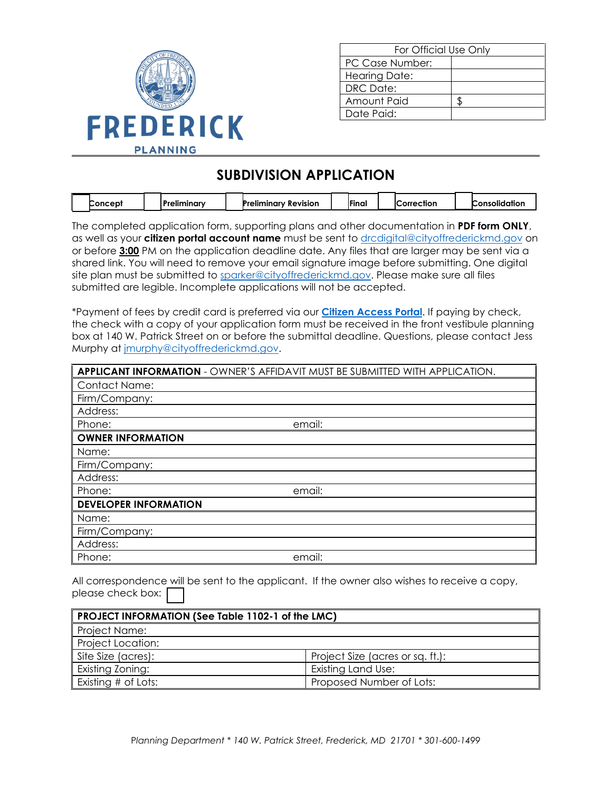

| For Official Use Only |  |  |  |  |
|-----------------------|--|--|--|--|
| PC Case Number:       |  |  |  |  |
| <b>Hearing Date:</b>  |  |  |  |  |
| DRC Date:             |  |  |  |  |
| Amount Paid           |  |  |  |  |
| Date Paid:            |  |  |  |  |

# **SUBDIVISION APPLICATION**

| Concept_ | .<br>ъ.<br>'reliminarv | $\overline{\phantom{a}}$<br>Preliminary<br>Revision | 'Final | <b>iCorrection</b> | . .<br>. .<br>Consolidation. |
|----------|------------------------|-----------------------------------------------------|--------|--------------------|------------------------------|

The completed application form, supporting plans and other documentation in **PDF form ONLY**, as well as your **citizen portal account name** must be sent to [drcdigital@cityoffrederickmd.gov](mailto:drcdigital@cityoffrederickmd.gov) on or before **3:00** PM on the application deadline date. Any files that are larger may be sent via a shared link. You will need to remove your email signature image before submitting. One digital site plan must be submitted to [sparker@cityoffrederickmd.gov.](mailto:sparker@cityoffrederickmd.gov) Please make sure all files submitted are legible. Incomplete applications will not be accepted.

\*Payment of fees by credit card is preferred via our **[Citizen Access Portal](https://gcc02.safelinks.protection.outlook.com/?url=https%3A%2F%2Fcitizenaccess.cityoffrederick.com%2Fcitizenaccess%2F&data=02%7C01%7Cgcollard%40cityoffrederickmd.gov%7Cad3d08217e17487711b308d7d4cd9765%7Cc379f8550dee4b099f890cee3aa7f761%7C0%7C0%7C637211851779890394&sdata=fTC85eZgbuzzFKzq%2Fio%2FHxCILWPquIWiY8bsVzLfTtM%3D&reserved=0)**. If paying by check, the check with a copy of your application form must be received in the front vestibule planning box at 140 W. Patrick Street on or before the submittal deadline. Questions, please contact Jess Murphy at [jmurphy@cityoffrederickmd.gov.](mailto:jmurphy@cityoffrederickmd.gov)

|                              | <b>APPLICANT INFORMATION - OWNER'S AFFIDAVIT MUST BE SUBMITTED WITH APPLICATION.</b> |
|------------------------------|--------------------------------------------------------------------------------------|
| <b>Contact Name:</b>         |                                                                                      |
| Firm/Company:                |                                                                                      |
| Address:                     |                                                                                      |
| Phone:                       | email:                                                                               |
| <b>OWNER INFORMATION</b>     |                                                                                      |
| Name:                        |                                                                                      |
| Firm/Company:                |                                                                                      |
| Address:                     |                                                                                      |
| Phone:                       | email:                                                                               |
| <b>DEVELOPER INFORMATION</b> |                                                                                      |
| Name:                        |                                                                                      |
| Firm/Company:                |                                                                                      |
| Address:                     |                                                                                      |
| Phone:                       | email:                                                                               |

All correspondence will be sent to the applicant. If the owner also wishes to receive a copy, please check box:

| PROJECT INFORMATION (See Table 1102-1 of the LMC) |                                  |  |  |  |  |
|---------------------------------------------------|----------------------------------|--|--|--|--|
| Project Name:                                     |                                  |  |  |  |  |
| <b>Project Location:</b>                          |                                  |  |  |  |  |
| Site Size (acres):                                | Project Size (acres or sq. ft.): |  |  |  |  |
| Existing Zoning:                                  | Existing Land Use:               |  |  |  |  |
| Existing # of Lots:                               | Proposed Number of Lots:         |  |  |  |  |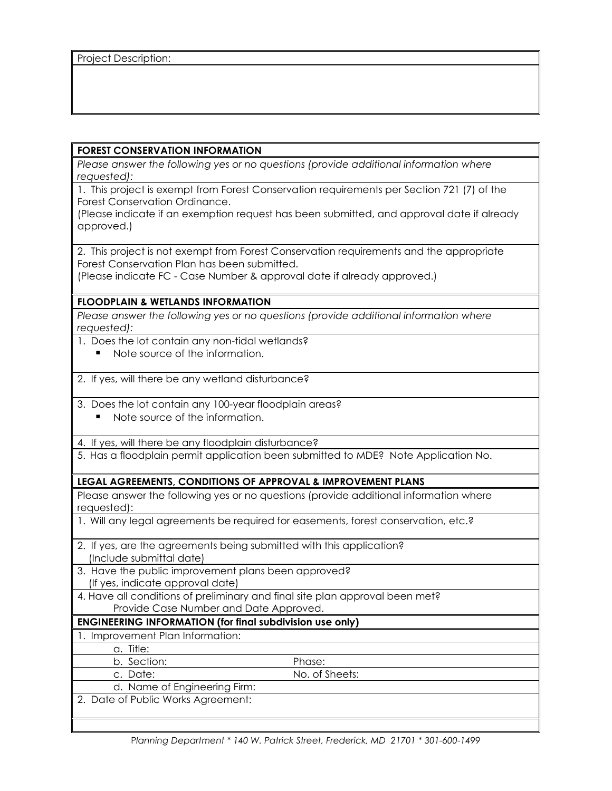### **FOREST CONSERVATION INFORMATION**

*Please answer the following yes or no questions (provide additional information where requested):*

1. This project is exempt from Forest Conservation requirements per Section 721 (7) of the Forest Conservation Ordinance.

(Please indicate if an exemption request has been submitted, and approval date if already approved.)

2. This project is not exempt from Forest Conservation requirements and the appropriate Forest Conservation Plan has been submitted.

(Please indicate FC - Case Number & approval date if already approved.)

### **FLOODPLAIN & WETLANDS INFORMATION**

*Please answer the following yes or no questions (provide additional information where requested):*

- 1. Does the lot contain any non-tidal wetlands?
	- Note source of the information
- 2. If yes, will there be any wetland disturbance?
- 3. Does the lot contain any 100-year floodplain areas?
	- Note source of the information.
- 4. If yes, will there be any floodplain disturbance?
- 5. Has a floodplain permit application been submitted to MDE? Note Application No.

#### **LEGAL AGREEMENTS, CONDITIONS OF APPROVAL & IMPROVEMENT PLANS**

Please answer the following yes or no questions (provide additional information where requested):

1. Will any legal agreements be required for easements, forest conservation, etc.?

- 2. If yes, are the agreements being submitted with this application? (Include submittal date)
- 3. Have the public improvement plans been approved? (If yes, indicate approval date)
- 4. Have all conditions of preliminary and final site plan approval been met? Provide Case Number and Date Approved.

## **ENGINEERING INFORMATION (for final subdivision use only)**

- 1. Improvement Plan Information:
	- a. Title:
	- b. Section: Phase:

c. Date: No. of Sheets:

- d. Name of Engineering Firm:
- 2. Date of Public Works Agreement: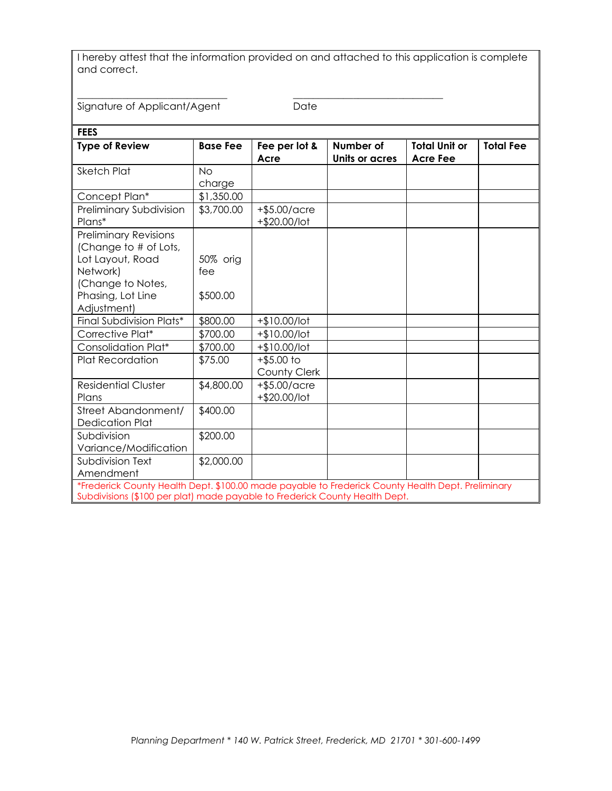I hereby attest that the information provided on and attached to this application is complete and correct.

\_\_\_\_\_\_\_\_\_\_\_\_\_\_\_\_\_\_\_\_\_\_\_\_\_\_\_\_\_\_ \_\_\_\_\_\_\_\_\_\_\_\_\_\_\_\_\_\_\_\_\_\_\_\_\_\_\_\_\_\_

Signature of Applicant/Agent Date

| <b>FEES</b>                                                                                                                                                                      |                 |                                 |                             |                                         |                  |  |
|----------------------------------------------------------------------------------------------------------------------------------------------------------------------------------|-----------------|---------------------------------|-----------------------------|-----------------------------------------|------------------|--|
| <b>Type of Review</b>                                                                                                                                                            | <b>Base Fee</b> | Fee per lot &<br>Acre           | Number of<br>Units or acres | <b>Total Unit or</b><br><b>Acre Fee</b> | <b>Total Fee</b> |  |
| <b>Sketch Plat</b>                                                                                                                                                               | <b>No</b>       |                                 |                             |                                         |                  |  |
|                                                                                                                                                                                  | charge          |                                 |                             |                                         |                  |  |
| Concept Plan*                                                                                                                                                                    | \$1,350.00      |                                 |                             |                                         |                  |  |
| Preliminary Subdivision<br>Plans*                                                                                                                                                | \$3,700.00      | $+$ \$5.00/acre<br>+\$20.00/lot |                             |                                         |                  |  |
| <b>Preliminary Revisions</b><br>(Change to # of Lots,<br>Lot Layout, Road<br>Network)<br>(Change to Notes,                                                                       | 50% orig<br>fee |                                 |                             |                                         |                  |  |
| Phasing, Lot Line<br>Adjustment)                                                                                                                                                 | \$500.00        |                                 |                             |                                         |                  |  |
| Final Subdivision Plats*                                                                                                                                                         | \$800.00        | $+$10.00/lot$                   |                             |                                         |                  |  |
| Corrective Plat*                                                                                                                                                                 | \$700.00        | $+$10.00/lot$                   |                             |                                         |                  |  |
| Consolidation Plat*                                                                                                                                                              | \$700.00        | $+$10.00/lot$                   |                             |                                         |                  |  |
| <b>Plat Recordation</b>                                                                                                                                                          | \$75.00         | $+$ \$5.00 to<br>County Clerk   |                             |                                         |                  |  |
| <b>Residential Cluster</b><br>Plans                                                                                                                                              | \$4,800.00      | $+$ \$5.00/acre<br>+\$20.00/lot |                             |                                         |                  |  |
| Street Abandonment/<br><b>Dedication Plat</b>                                                                                                                                    | \$400.00        |                                 |                             |                                         |                  |  |
| Subdivision<br>Variance/Modification                                                                                                                                             | \$200.00        |                                 |                             |                                         |                  |  |
| Subdivision Text<br>Amendment                                                                                                                                                    | \$2,000.00      |                                 |                             |                                         |                  |  |
| *Frederick County Health Dept. \$100.00 made payable to Frederick County Health Dept. Preliminary<br>Subdivisions (\$100 per plat) made payable to Frederick County Health Dept. |                 |                                 |                             |                                         |                  |  |